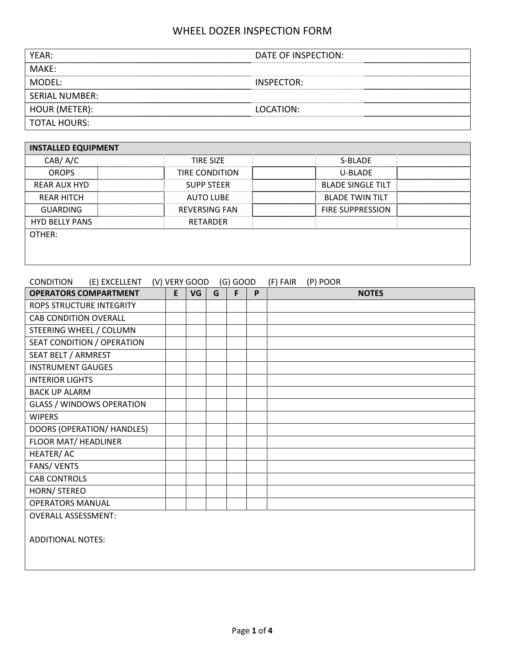| YEAR:                 | DATE OF INSPECTION: |
|-----------------------|---------------------|
| MAKF:                 |                     |
| MODFL:                | INSPECTOR:          |
| <b>SERIAL NUMBER:</b> |                     |
| HOUR (METER):         | LOCATION:           |
| <b>TOTAL HOURS:</b>   |                     |

| <b>INSTALLED EQUIPMENT</b> |                       |                          |  |  |  |  |  |  |  |  |  |
|----------------------------|-----------------------|--------------------------|--|--|--|--|--|--|--|--|--|
| CAB/ A/C                   | <b>TIRE SIZE</b>      | S-BLADE                  |  |  |  |  |  |  |  |  |  |
| <b>OROPS</b>               | <b>TIRE CONDITION</b> | <b>U-BLADE</b>           |  |  |  |  |  |  |  |  |  |
| REAR AUX HYD               | <b>SUPP STEER</b>     | <b>BLADE SINGLE TILT</b> |  |  |  |  |  |  |  |  |  |
| <b>REAR HITCH</b>          | <b>AUTO LUBE</b>      | <b>BLADE TWIN TILT</b>   |  |  |  |  |  |  |  |  |  |
| GUARDING                   | <b>REVERSING FAN</b>  | <b>FIRE SUPPRESSION</b>  |  |  |  |  |  |  |  |  |  |
| <b>HYD BELLY PANS</b>      | RETARDER              |                          |  |  |  |  |  |  |  |  |  |
| OTHER:                     |                       |                          |  |  |  |  |  |  |  |  |  |
|                            |                       |                          |  |  |  |  |  |  |  |  |  |
|                            |                       |                          |  |  |  |  |  |  |  |  |  |

### CONDITION (E) EXCELLENT (V) VERY GOOD (G) GOOD (F) FAIR (P) POOR

| <b>OPERATORS COMPARTMENT</b>     | E | VG | G | F | P | <b>NOTES</b> |
|----------------------------------|---|----|---|---|---|--------------|
| ROPS STRUCTURE INTEGRITY         |   |    |   |   |   |              |
| <b>CAB CONDITION OVERALL</b>     |   |    |   |   |   |              |
| STEERING WHEEL / COLUMN          |   |    |   |   |   |              |
| SEAT CONDITION / OPERATION       |   |    |   |   |   |              |
| SEAT BELT / ARMREST              |   |    |   |   |   |              |
| <b>INSTRUMENT GAUGES</b>         |   |    |   |   |   |              |
| <b>INTERIOR LIGHTS</b>           |   |    |   |   |   |              |
| <b>BACK UP ALARM</b>             |   |    |   |   |   |              |
| <b>GLASS / WINDOWS OPERATION</b> |   |    |   |   |   |              |
| <b>WIPERS</b>                    |   |    |   |   |   |              |
| DOORS (OPERATION/ HANDLES)       |   |    |   |   |   |              |
| FLOOR MAT/ HEADLINER             |   |    |   |   |   |              |
| HEATER/AC                        |   |    |   |   |   |              |
| FANS/VENTS                       |   |    |   |   |   |              |
| <b>CAB CONTROLS</b>              |   |    |   |   |   |              |
| HORN/ STEREO                     |   |    |   |   |   |              |
| <b>OPERATORS MANUAL</b>          |   |    |   |   |   |              |
| <b>OVERALL ASSESSMENT:</b>       |   |    |   |   |   |              |
| <b>ADDITIONAL NOTES:</b>         |   |    |   |   |   |              |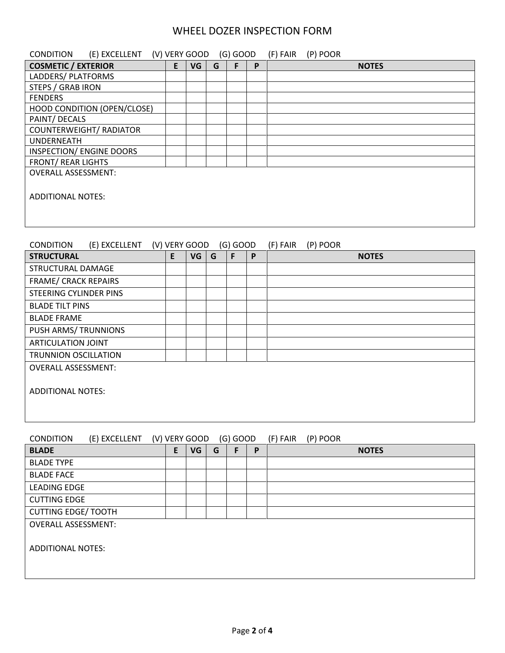| (E) EXCELLENT<br><b>CONDITION</b>                                                        | (V) VERY GOOD |    |   | $(G)$ GOOD |   | (F) FAIR<br>(P) POOR |  |  |
|------------------------------------------------------------------------------------------|---------------|----|---|------------|---|----------------------|--|--|
| <b>COSMETIC / EXTERIOR</b>                                                               | E.            | VG | G | F          | P | <b>NOTES</b>         |  |  |
| LADDERS/ PLATFORMS                                                                       |               |    |   |            |   |                      |  |  |
| <b>STEPS / GRAB IRON</b>                                                                 |               |    |   |            |   |                      |  |  |
| <b>FENDERS</b>                                                                           |               |    |   |            |   |                      |  |  |
| HOOD CONDITION (OPEN/CLOSE)                                                              |               |    |   |            |   |                      |  |  |
| PAINT/ DECALS                                                                            |               |    |   |            |   |                      |  |  |
| <b>COUNTERWEIGHT/ RADIATOR</b>                                                           |               |    |   |            |   |                      |  |  |
| <b>UNDERNEATH</b>                                                                        |               |    |   |            |   |                      |  |  |
| INSPECTION/ ENGINE DOORS                                                                 |               |    |   |            |   |                      |  |  |
| <b>FRONT/ REAR LIGHTS</b>                                                                |               |    |   |            |   |                      |  |  |
| <b>OVERALL ASSESSMENT:</b>                                                               |               |    |   |            |   |                      |  |  |
|                                                                                          |               |    |   |            |   |                      |  |  |
| <b>ADDITIONAL NOTES:</b>                                                                 |               |    |   |            |   |                      |  |  |
|                                                                                          |               |    |   |            |   |                      |  |  |
|                                                                                          |               |    |   |            |   |                      |  |  |
|                                                                                          |               |    |   |            |   |                      |  |  |
|                                                                                          |               |    |   |            |   |                      |  |  |
| (V) VERY GOOD<br>(E) EXCELLENT<br>$(G)$ GOOD<br>(F) FAIR<br>(P) POOR<br><b>CONDITION</b> |               |    |   |            |   |                      |  |  |
| <b>STRUCTURAL</b>                                                                        | E             | VG | G | F          | P | <b>NOTES</b>         |  |  |
| STRUCTURAL DAMAGE                                                                        |               |    |   |            |   |                      |  |  |

ADDITIONAL NOTES:

FRAME/ CRACK REPAIRS STEERING CYLINDER PINS

PUSH ARMS/ TRUNNIONS ARTICULATION JOINT TRUNNION OSCILLATION OVERALL ASSESSMENT:

BLADE TILT PINS BLADE FRAME

| <b>CONDITION</b>           | (E) EXCELLENT | (V) VERY GOOD |   |           |   | $(G)$ GOOD |   | (F) FAIR | (P) POOR     |  |
|----------------------------|---------------|---------------|---|-----------|---|------------|---|----------|--------------|--|
| <b>BLADE</b>               |               |               | E | <b>VG</b> | G |            | P |          | <b>NOTES</b> |  |
| <b>BLADE TYPE</b>          |               |               |   |           |   |            |   |          |              |  |
| <b>BLADE FACE</b>          |               |               |   |           |   |            |   |          |              |  |
| <b>LEADING EDGE</b>        |               |               |   |           |   |            |   |          |              |  |
| <b>CUTTING EDGE</b>        |               |               |   |           |   |            |   |          |              |  |
| <b>CUTTING EDGE/ TOOTH</b> |               |               |   |           |   |            |   |          |              |  |
| <b>OVERALL ASSESSMENT:</b> |               |               |   |           |   |            |   |          |              |  |
|                            |               |               |   |           |   |            |   |          |              |  |
| <b>ADDITIONAL NOTES:</b>   |               |               |   |           |   |            |   |          |              |  |
|                            |               |               |   |           |   |            |   |          |              |  |
|                            |               |               |   |           |   |            |   |          |              |  |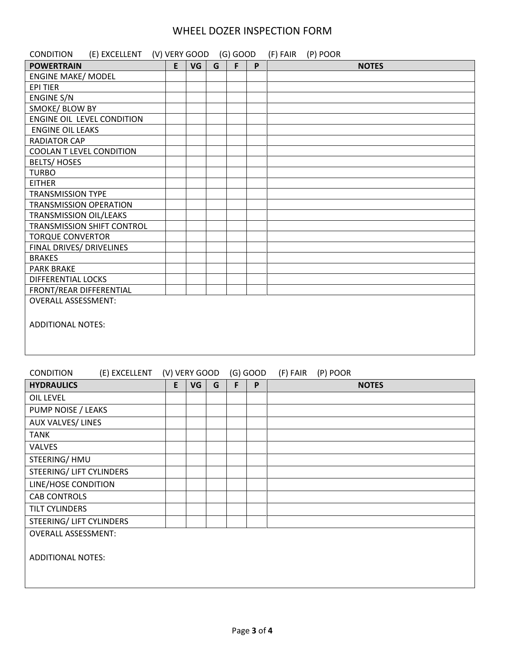| <b>CONDITION</b><br>(E) EXCELLENT (V) VERY GOOD (G) GOOD |   |           |   |   |   | (F) FAIR<br>(P) POOR |
|----------------------------------------------------------|---|-----------|---|---|---|----------------------|
| <b>POWERTRAIN</b>                                        | E | <b>VG</b> | G | F | P | <b>NOTES</b>         |
| <b>ENGINE MAKE/ MODEL</b>                                |   |           |   |   |   |                      |
| <b>EPI TIER</b>                                          |   |           |   |   |   |                      |
| <b>ENGINE S/N</b>                                        |   |           |   |   |   |                      |
| SMOKE/ BLOW BY                                           |   |           |   |   |   |                      |
| ENGINE OIL LEVEL CONDITION                               |   |           |   |   |   |                      |
| <b>ENGINE OIL LEAKS</b>                                  |   |           |   |   |   |                      |
| <b>RADIATOR CAP</b>                                      |   |           |   |   |   |                      |
| <b>COOLAN T LEVEL CONDITION</b>                          |   |           |   |   |   |                      |
| <b>BELTS/HOSES</b>                                       |   |           |   |   |   |                      |
| <b>TURBO</b>                                             |   |           |   |   |   |                      |
| <b>EITHER</b>                                            |   |           |   |   |   |                      |
| <b>TRANSMISSION TYPE</b>                                 |   |           |   |   |   |                      |
| <b>TRANSMISSION OPERATION</b>                            |   |           |   |   |   |                      |
| <b>TRANSMISSION OIL/LEAKS</b>                            |   |           |   |   |   |                      |
| TRANSMISSION SHIFT CONTROL                               |   |           |   |   |   |                      |
| <b>TORQUE CONVERTOR</b>                                  |   |           |   |   |   |                      |
| FINAL DRIVES/ DRIVELINES                                 |   |           |   |   |   |                      |
| <b>BRAKES</b>                                            |   |           |   |   |   |                      |
| <b>PARK BRAKE</b>                                        |   |           |   |   |   |                      |
| <b>DIFFERENTIAL LOCKS</b>                                |   |           |   |   |   |                      |
| FRONT/REAR DIFFERENTIAL                                  |   |           |   |   |   |                      |
| <b>OVERALL ASSESSMENT:</b>                               |   |           |   |   |   |                      |
| <b>ADDITIONAL NOTES:</b>                                 |   |           |   |   |   |                      |

#### CONDITION (E) EXCELLENT (V) VERY GOOD (G) GOOD (F) FAIR (P) POOR

| <b>HYDRAULICS</b>          | E | VG | G | F | P | <b>NOTES</b> |
|----------------------------|---|----|---|---|---|--------------|
| <b>OIL LEVEL</b>           |   |    |   |   |   |              |
| PUMP NOISE / LEAKS         |   |    |   |   |   |              |
| AUX VALVES/LINES           |   |    |   |   |   |              |
| <b>TANK</b>                |   |    |   |   |   |              |
| <b>VALVES</b>              |   |    |   |   |   |              |
| STEERING/HMU               |   |    |   |   |   |              |
| STEERING/ LIFT CYLINDERS   |   |    |   |   |   |              |
| LINE/HOSE CONDITION        |   |    |   |   |   |              |
| <b>CAB CONTROLS</b>        |   |    |   |   |   |              |
| TILT CYLINDERS             |   |    |   |   |   |              |
| STEERING/ LIFT CYLINDERS   |   |    |   |   |   |              |
| <b>OVERALL ASSESSMENT:</b> |   |    |   |   |   |              |
|                            |   |    |   |   |   |              |
| <b>ADDITIONAL NOTES:</b>   |   |    |   |   |   |              |
|                            |   |    |   |   |   |              |
|                            |   |    |   |   |   |              |